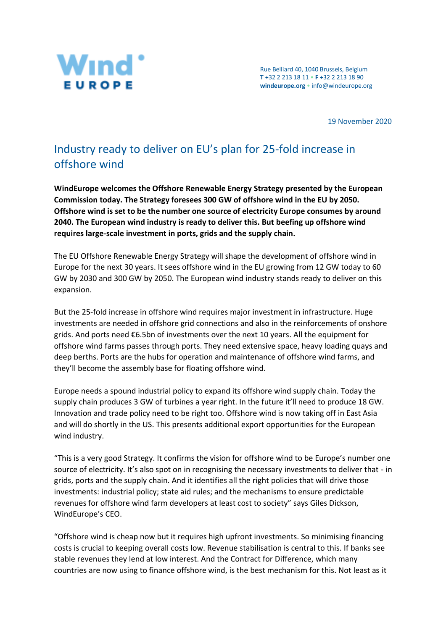

Rue Belliard 40, 1040 Brussels, Belgium **T** +32 2 213 18 11 • **F** +32 2 213 18 90 **[windeurope.org](https://windeurope.org/)** • [info@windeurope.org](mailto:info@windeurope.org) 

19 November 2020

## Industry ready to deliver on EU's plan for 25-fold increase in offshore wind

**WindEurope welcomes the Offshore Renewable Energy Strategy presented by the European Commission today. The Strategy foresees 300 GW of offshore wind in the EU by 2050. Offshore wind is set to be the number one source of electricity Europe consumes by around 2040. The European wind industry is ready to deliver this. But beefing up offshore wind requires large-scale investment in ports, grids and the supply chain.**

The EU Offshore Renewable Energy Strategy will shape the development of offshore wind in Europe for the next 30 years. It sees offshore wind in the EU growing from 12 GW today to 60 GW by 2030 and 300 GW by 2050. The European wind industry stands ready to deliver on this expansion.

But the 25-fold increase in offshore wind requires major investment in infrastructure. Huge investments are needed in offshore grid connections and also in the reinforcements of onshore grids. And ports need €6.5bn of investments over the next 10 years. All the equipment for offshore wind farms passes through ports. They need extensive space, heavy loading quays and deep berths. Ports are the hubs for operation and maintenance of offshore wind farms, and they'll become the assembly base for floating offshore wind.

Europe needs a spound industrial policy to expand its offshore wind supply chain. Today the supply chain produces 3 GW of turbines a year right. In the future it'll need to produce 18 GW. Innovation and trade policy need to be right too. Offshore wind is now taking off in East Asia and will do shortly in the US. This presents additional export opportunities for the European wind industry.

"This is a very good Strategy. It confirms the vision for offshore wind to be Europe's number one source of electricity. It's also spot on in recognising the necessary investments to deliver that - in grids, ports and the supply chain. And it identifies all the right policies that will drive those investments: industrial policy; state aid rules; and the mechanisms to ensure predictable revenues for offshore wind farm developers at least cost to society" says Giles Dickson, WindEurope's CEO.

"Offshore wind is cheap now but it requires high upfront investments. So minimising financing costs is crucial to keeping overall costs low. Revenue stabilisation is central to this. If banks see stable revenues they lend at low interest. And the Contract for Difference, which many countries are now using to finance offshore wind, is the best mechanism for this. Not least as it